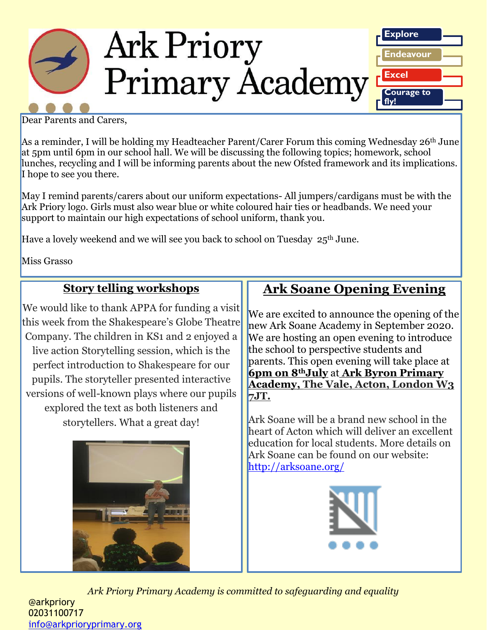

Dear Parents and Carers,

As a reminder, I will be holding my Headteacher Parent/Carer Forum this coming Wednesday 26<sup>th</sup> June at 5pm until 6pm in our school hall. We will be discussing the following topics; homework, school lunches, recycling and I will be informing parents about the new Ofsted framework and its implications. I hope to see you there.

May I remind parents/carers about our uniform expectations- All jumpers/cardigans must be with the Ark Priory logo. Girls must also wear blue or white coloured hair ties or headbands. We need your support to maintain our high expectations of school uniform, thank you.

Have a lovely weekend and we will see you back to school on Tuesday 25<sup>th</sup> June.

Miss Grasso

### **Story telling workshops**

We would like to thank APPA for funding a visit this week from the Shakespeare's Globe Theatre Company. The children in KS1 and 2 enjoyed a live action Storytelling session, which is the perfect introduction to Shakespeare for our pupils. The storyteller presented interactive versions of well-known plays where our pupils explored the text as both listeners and storytellers. What a great day!



# **Ark Soane Opening Evening**

We are excited to announce the opening of the new Ark Soane Academy in September 2020. We are hosting an open evening to introduce the school to perspective students and parents. This open evening will take place at **6pm on 8thJuly** at **Ark Byron Primary Academy, The Vale, Acton, London W3 7JT.**

Ark Soane will be a brand new school in the heart of Acton which will deliver an excellent education for local students. More details on Ark Soane can be found on our website: <http://arksoane.org/>



*Ark Priory Primary Academy is committed to safeguarding and equality*  @arkpriory 02031100717 [info@arkprioryprimary.org](mailto:info@arkprioryprimary.org)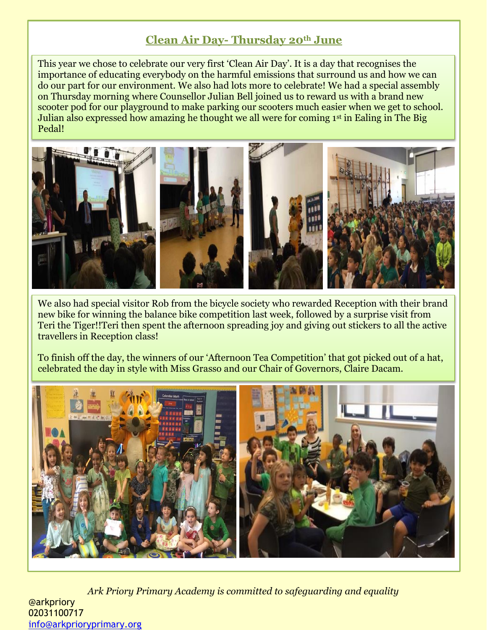### **Clean Air Day- Thursday 20th June**

This year we chose to celebrate our very first 'Clean Air Day'. It is a day that recognises the importance of educating everybody on the harmful emissions that surround us and how we can do our part for our environment. We also had lots more to celebrate! We had a special assembly on Thursday morning where Counsellor Julian Bell joined us to reward us with a brand new scooter pod for our playground to make parking our scooters much easier when we get to school. Julian also expressed how amazing he thought we all were for coming 1st in Ealing in The Big Pedal!



We also had special visitor Rob from the bicycle society who rewarded Reception with their brand new bike for winning the balance bike competition last week, followed by a surprise visit from Teri the Tiger!!Teri then spent the afternoon spreading joy and giving out stickers to all the active travellers in Reception class!

To finish off the day, the winners of our 'Afternoon Tea Competition' that got picked out of a hat, celebrated the day in style with Miss Grasso and our Chair of Governors, Claire Dacam.



*Ark Priory Primary Academy is committed to safeguarding and equality*  @arkpriory 02031100717 [info@arkprioryprimary.org](mailto:info@arkprioryprimary.org)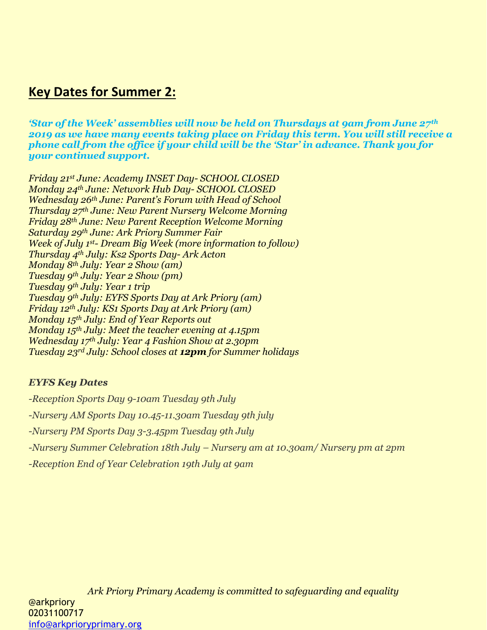## **Key Dates for Summer 2:**

*'Star of the Week' assemblies will now be held on Thursdays at 9am from June 27th 2019 as we have many events taking place on Friday this term. You will still receive a phone call from the office if your child will be the 'Star' in advance. Thank you for your continued support.*

*Friday 21st June: Academy INSET Day- SCHOOL CLOSED Monday 24th June: Network Hub Day- SCHOOL CLOSED Wednesday 26th June: Parent's Forum with Head of School Thursday 27th June: New Parent Nursery Welcome Morning Friday 28th June: New Parent Reception Welcome Morning Saturday 29th June: Ark Priory Summer Fair Week of July 1st- Dream Big Week (more information to follow) Thursday 4th July: Ks2 Sports Day- Ark Acton Monday 8th July: Year 2 Show (am) Tuesday 9th July: Year 2 Show (pm) Tuesday 9th July: Year 1 trip Tuesday 9th July: EYFS Sports Day at Ark Priory (am) Friday 12th July: KS1 Sports Day at Ark Priory (am) Monday 15th July: End of Year Reports out Monday 15th July: Meet the teacher evening at 4.15pm Wednesday 17th July: Year 4 Fashion Show at 2.30pm Tuesday 23rd July: School closes at 12pm for Summer holidays*

#### *EYFS Key Dates*

*-Reception Sports Day 9-10am Tuesday 9th July -Nursery AM Sports Day 10.45-11.30am Tuesday 9th july -Nursery PM Sports Day 3-3.45pm Tuesday 9th July -Nursery Summer Celebration 18th July – Nursery am at 10.30am/ Nursery pm at 2pm -Reception End of Year Celebration 19th July at 9am*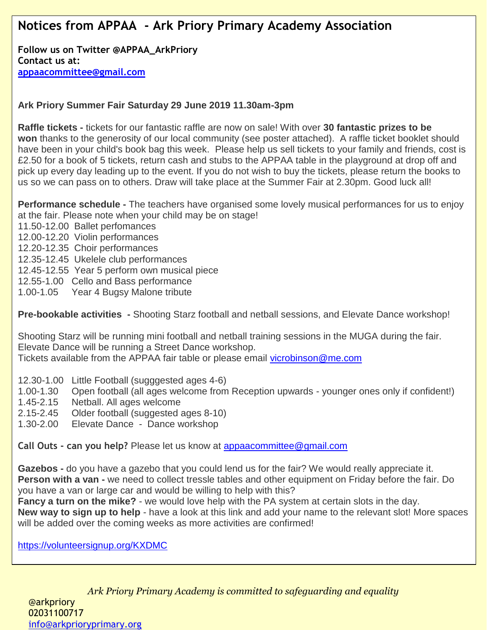## **Notices from APPAA - Ark Priory Primary Academy Association**

**Follow us on Twitter @APPAA\_ArkPriory Contact us at: [appaacommittee@gmail.com](mailto:appaacommittee@gmail.com)**

#### **Ark Priory Summer Fair Saturday 29 June 2019 11.30am-3pm**

**Raffle tickets -** tickets for our fantastic raffle are now on sale! With over **30 fantastic prizes to be won** thanks to the generosity of our local community (see poster attached). A raffle ticket booklet should have been in your child's book bag this week. Please help us sell tickets to your family and friends, cost is £2.50 for a book of 5 tickets, return cash and stubs to the APPAA table in the playground at drop off and pick up every day leading up to the event. If you do not wish to buy the tickets, please return the books to us so we can pass on to others. Draw will take place at the Summer Fair at 2.30pm. Good luck all!

**Performance schedule -** The teachers have organised some lovely musical performances for us to enjoy at the fair. Please note when your child may be on stage!

11.50-12.00 Ballet perfomances

12.00-12.20 Violin performances

12.20-12.35 Choir performances

12.35-12.45 Ukelele club performances

12.45-12.55 Year 5 perform own musical piece

12.55-1.00 Cello and Bass performance

1.00-1.05 Year 4 Bugsy Malone tribute

**Pre-bookable activities -** Shooting Starz football and netball sessions, and Elevate Dance workshop!

Shooting Starz will be running mini football and netball training sessions in the MUGA during the fair. Elevate Dance will be running a Street Dance workshop.

Tickets available from the APPAA fair table or please email [vicrobinson@me.com](mailto:vicrobinson@me.com)

- 12.30-1.00 Little Football (sugggested ages 4-6)
- 1.00-1.30 Open football (all ages welcome from Reception upwards younger ones only if confident!)
- 1.45-2.15 Netball. All ages welcome
- 2.15-2.45 Older football (suggested ages 8-10)
- 1.30-2.00 Elevate Dance Dance workshop

**Call Outs - can you help?** Please let us know at [appaacommittee@gmail.com](mailto:appaacommittee@gmail.com)

**Gazebos -** do you have a gazebo that you could lend us for the fair? We would really appreciate it. **Person with a van -** we need to collect tressle tables and other equipment on Friday before the fair. Do you have a van or large car and would be willing to help with this?

**Fancy a turn on the mike?** - we would love help with the PA system at certain slots in the day.

**New way to sign up to help** - have a look at this link and add your name to the relevant slot! More spaces will be added over the coming weeks as more activities are confirmed!

beautiful creations of **handmade goods** - **jams, chutneys, packaged food items, plants, gift** 

<https://volunteersignup.org/KXDMC>

 $\overline{Ark}$  Priory Primary Academy is committed to safeguarding and equality @arkpriory 02031100717 **Artisan Architecture artisan Ark - calling all of our talented crafters and makers, we will be running a stall se<br>The calling all of our talented crafters and makers, we will be running a stall selling your talent will be adults** (ideally New): any **unwanted gifts, bottles (of scent, wine, spirits, shampoo, etc!!), household items, etc** - contact Amanda Meyer [\(amandanessling@yahoo.co.uk\)](mailto:amandanessling@yahoo.co.uk)